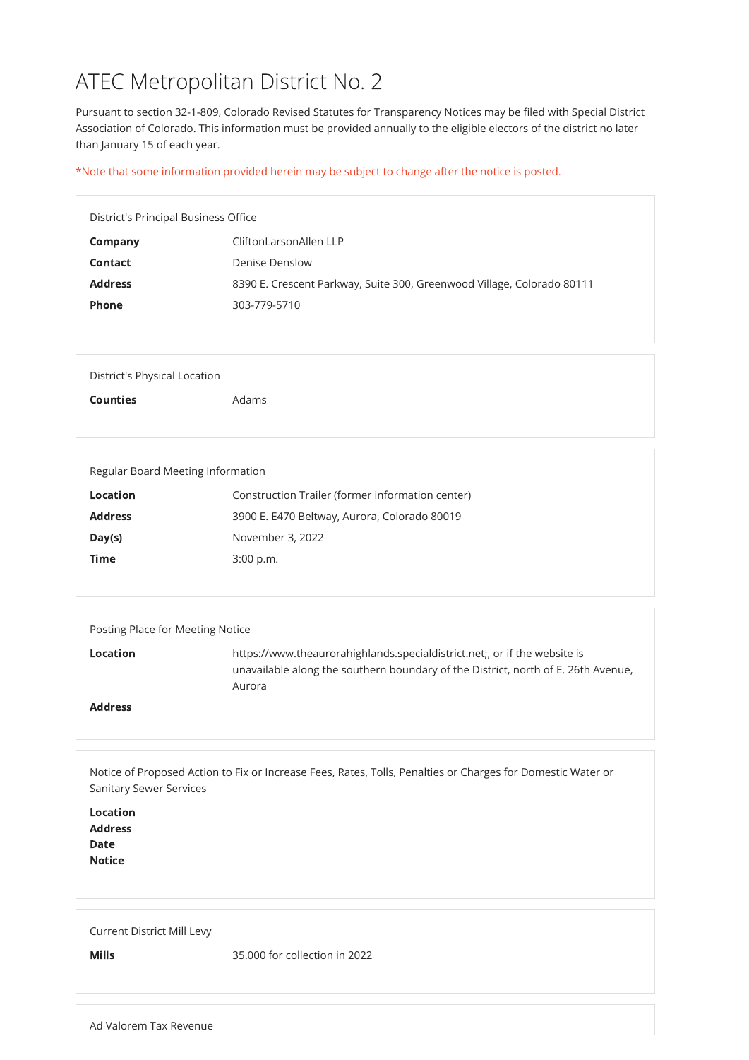# ATEC Metropolitan District No. 2

Pursuant to section 32-1-809, Colorado Revised Statutes for Transparency Notices may be filed with Special District Association of Colorado. This information must be provided annually to the eligible electors of the district no later than January 15 of each year.

\*Note that some information provided herein may be subject to change after the notice is posted.

| District's Principal Business Office |                                                                        |  |
|--------------------------------------|------------------------------------------------------------------------|--|
| Company                              | CliftonLarsonAllen LLP                                                 |  |
| Contact                              | Denise Denslow                                                         |  |
| <b>Address</b>                       | 8390 E. Crescent Parkway, Suite 300, Greenwood Village, Colorado 80111 |  |
| <b>Phone</b>                         | 303-779-5710                                                           |  |
|                                      |                                                                        |  |

| <b>Location</b><br><b>Address</b><br><b>Date</b><br><b>Notice</b> |                               |
|-------------------------------------------------------------------|-------------------------------|
| <b>Current District Mill Levy</b><br><b>Mills</b>                 | 35.000 for collection in 2022 |

Counties **Adams** 

| Regular Board Meeting Information |                                                  |  |
|-----------------------------------|--------------------------------------------------|--|
| <b>Location</b>                   | Construction Trailer (former information center) |  |
| <b>Address</b>                    | 3900 E. E470 Beltway, Aurora, Colorado 80019     |  |
| Day(s)                            | November 3, 2022                                 |  |
| <b>Time</b>                       | 3:00 p.m.                                        |  |
|                                   |                                                  |  |

| Posting Place for Meeting Notice |                                                                                                                                                                          |
|----------------------------------|--------------------------------------------------------------------------------------------------------------------------------------------------------------------------|
| Location                         | https://www.theaurorahighlands.specialdistrict.net;, or if the website is<br>unavailable along the southern boundary of the District, north of E. 26th Avenue,<br>Aurora |
| <b>Address</b>                   |                                                                                                                                                                          |

Notice of Proposed Action to Fix or Increase Fees, Rates, Tolls, Penalties or Charges for Domestic Water or Sanitary Sewer Services

Ad Valorem Tax Revenue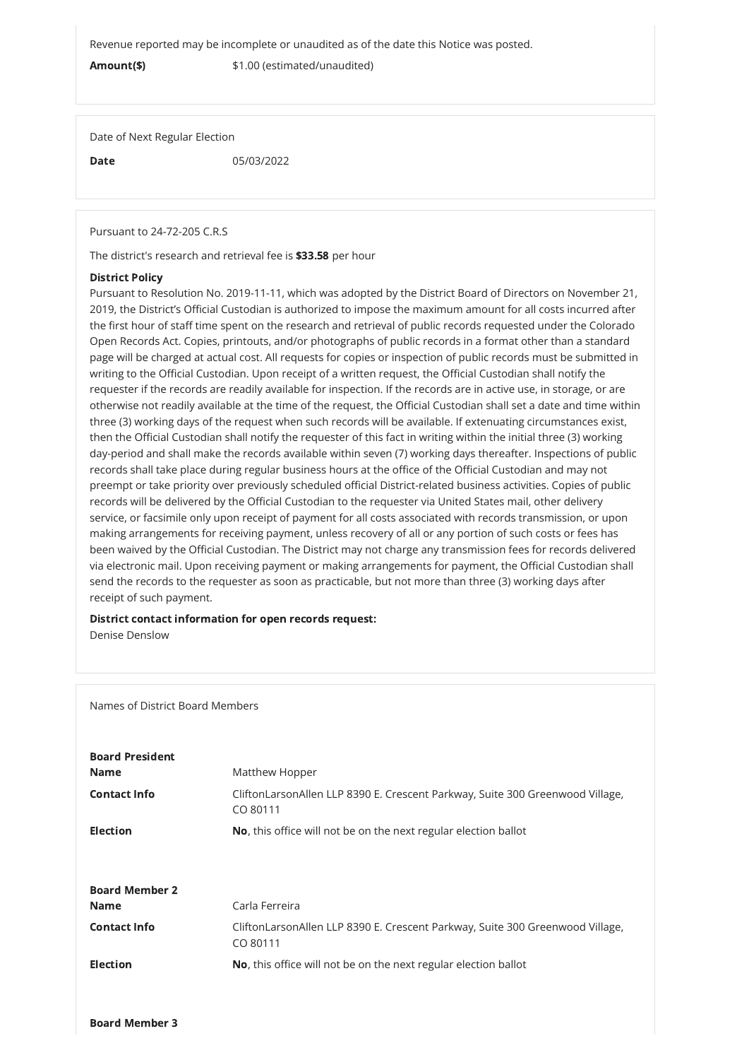Revenue reported may be incomplete or unaudited as of the date this Notice was posted.

Amount(\$)  $$1.00$  (estimated/unaudited)

Date of Next Regular Election

**Date** 05/03/2022

Pursuant to 24-72-205 C.R.S

The district's research and retrieval fee is \$33.58 per hour

## District Policy

Pursuant to Resolution No. 2019-11-11, which was adopted by the District Board of Directors on November 21, 2019, the District's Official Custodian is authorized to impose the maximum amount for all costs incurred after the first hour of staff time spent on the research and retrieval of public records requested under the Colorado Open Records Act. Copies, printouts, and/or photographs of public records in a format other than a standard page will be charged at actual cost. All requests for copies or inspection of public records must be submitted in writing to the Official Custodian. Upon receipt of a written request, the Official Custodian shall notify the requester if the records are readily available for inspection. If the records are in active use, in storage, or are otherwise not readily available at the time of the request, the Official Custodian shall set a date and time within three (3) working days of the request when such records will be available. If extenuating circumstances exist, then the Official Custodian shall notify the requester of this fact in writing within the initial three (3) working day-period and shall make the records available within seven (7) working days thereafter. Inspections of public records shall take place during regular business hours at the office of the Official Custodian and may not preempt or take priority over previously scheduled official District-related business activities. Copies of public records will be delivered by the Official Custodian to the requester via United States mail, other delivery service, or facsimile only upon receipt of payment for all costs associated with records transmission, or upon making arrangements for receiving payment, unless recovery of all or any portion of such costs or fees has been waived by the Official Custodian. The District may not charge any transmission fees for records delivered via electronic mail. Upon receiving payment or making arrangements for payment, the Official Custodian shall send the records to the requester as soon as practicable, but not more than three (3) working days after receipt of such payment.

## District contact information for open records request:

Denise Denslow

Names of District Board Members

# Board President

**Name** Matthew Hopper

Contact Info **COLITHON CONTACT CONTACT CONTACT CONTACT CONTACT CONTACT CONTACT CONTACT CONTACT CONTACT CONTACT** 

Board Member 3

|                       | CO 80111                                                                                  |  |
|-----------------------|-------------------------------------------------------------------------------------------|--|
| <b>Election</b>       | No, this office will not be on the next regular election ballot                           |  |
|                       |                                                                                           |  |
| <b>Board Member 2</b> |                                                                                           |  |
| <b>Name</b>           | Carla Ferreira                                                                            |  |
| <b>Contact Info</b>   | CliftonLarsonAllen LLP 8390 E. Crescent Parkway, Suite 300 Greenwood Village,<br>CO 80111 |  |
| <b>Election</b>       | No, this office will not be on the next regular election ballot                           |  |
|                       |                                                                                           |  |
|                       |                                                                                           |  |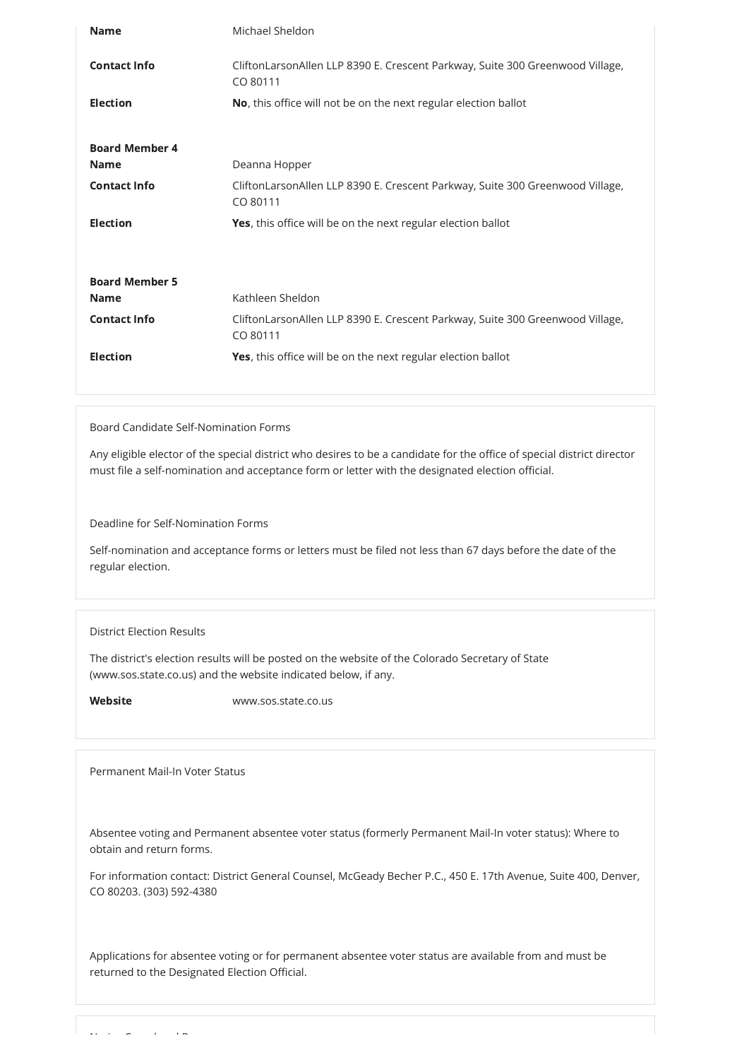| <b>Name</b>           | Michael Sheldon                                                                           |  |
|-----------------------|-------------------------------------------------------------------------------------------|--|
| <b>Contact Info</b>   | CliftonLarsonAllen LLP 8390 E. Crescent Parkway, Suite 300 Greenwood Village,<br>CO 80111 |  |
| <b>Election</b>       | No, this office will not be on the next regular election ballot                           |  |
| <b>Board Member 4</b> |                                                                                           |  |
| <b>Name</b>           | Deanna Hopper                                                                             |  |
| <b>Contact Info</b>   | CliftonLarsonAllen LLP 8390 E. Crescent Parkway, Suite 300 Greenwood Village,<br>CO 80111 |  |
| <b>Election</b>       | Yes, this office will be on the next regular election ballot                              |  |
|                       |                                                                                           |  |
| <b>Board Member 5</b> |                                                                                           |  |
| <b>Name</b>           | Kathleen Sheldon                                                                          |  |
| <b>Contact Info</b>   | CliftonLarsonAllen LLP 8390 E. Crescent Parkway, Suite 300 Greenwood Village,<br>CO 80111 |  |
| <b>Election</b>       | Yes, this office will be on the next regular election ballot                              |  |
|                       |                                                                                           |  |

# Board Candidate Self-Nomination Forms

Any eligible elector of the special district who desires to be a candidate for the office of special district director must file a self-nomination and acceptance form or letter with the designated election official.

Deadline for Self-Nomination Forms

Self-nomination and acceptance forms or letters must be filed not less than 67 days before the date of the regular election.

## District Election Results

The district's election results will be posted on the website of the Colorado Secretary of State (www.sos.state.co.us) and the website indicated below, if any.

Website www.sos.state.co.us

Permanent Mail-In Voter Status

Absentee voting and Permanent absentee voter status (formerly Permanent Mail-In voter status): Where to obtain and return forms.

For information contact: District General Counsel, McGeady Becher P.C., 450 E. 17th Avenue, Suite 400, Denver, CO 80203. (303) 592-4380

Applications for absentee voting or for permanent absentee voter status are available from and must be returned to the Designated Election Official.

 $N$  is considered by  $\Delta B$